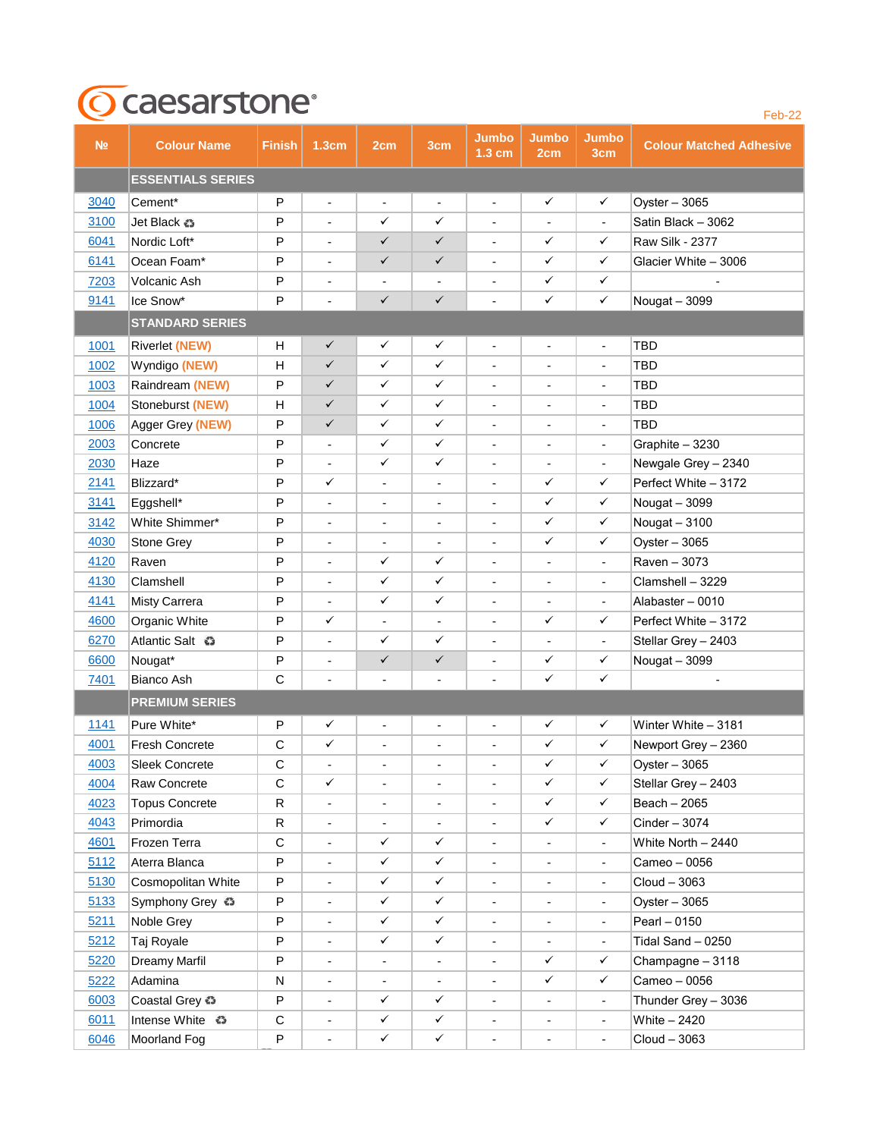## **T**Caesarstone<sup>®</sup>

| N <sub>2</sub> | <b>Colour Name</b>       | <b>Finish</b> | 1.3cm                    | 2cm                      | 3cm                          | Jumbo<br>1.3 cm              | <b>Jumbo</b><br>2cm      | Jumbo<br>3cm             | <b>Colour Matched Adhesive</b> |
|----------------|--------------------------|---------------|--------------------------|--------------------------|------------------------------|------------------------------|--------------------------|--------------------------|--------------------------------|
|                | <b>ESSENTIALS SERIES</b> |               |                          |                          |                              |                              |                          |                          |                                |
| 3040           | Cement*                  | P             | $\overline{\phantom{a}}$ | $\overline{\phantom{a}}$ | $\overline{\phantom{a}}$     | $\blacksquare$               | $\checkmark$             | $\checkmark$             | Oyster $-3065$                 |
| 3100           | Jet Black $\bullet$      | P             | $\blacksquare$           | ✓                        | ✓                            | $\overline{\phantom{a}}$     | $\blacksquare$           | $\overline{\phantom{a}}$ | Satin Black - 3062             |
| 6041           | Nordic Loft*             | P             | $\overline{\phantom{a}}$ | $\checkmark$             | $\checkmark$                 | $\blacksquare$               | ✓                        | ✓                        | <b>Raw Silk - 2377</b>         |
| 6141           | Ocean Foam*              | P             | $\overline{\phantom{a}}$ | $\checkmark$             | $\checkmark$                 | $\overline{\phantom{a}}$     | ✓                        | $\checkmark$             | Glacier White - 3006           |
| 7203           | Volcanic Ash             | P             | $\overline{a}$           | $\overline{\phantom{a}}$ | $\frac{1}{2}$                | $\overline{\phantom{a}}$     | ✓                        | $\checkmark$             |                                |
| 9141           | Ice Snow*                | P             | $\overline{\phantom{a}}$ | $\checkmark$             | $\checkmark$                 | ÷                            | ✓                        | $\checkmark$             | Nougat - 3099                  |
|                | <b>STANDARD SERIES</b>   |               |                          |                          |                              |                              |                          |                          |                                |
| 1001           | <b>Riverlet (NEW)</b>    | H             | ✓                        | $\checkmark$             | ✓                            | $\blacksquare$               | $\overline{\phantom{a}}$ | $\overline{\phantom{a}}$ | <b>TBD</b>                     |
| 1002           | Wyndigo (NEW)            | н             | $\checkmark$             | ✓                        | ✓                            | $\blacksquare$               |                          | $\overline{\phantom{a}}$ | TBD                            |
| 1003           | Raindream (NEW)          | P             | $\checkmark$             | ✓                        | ✓                            | $\overline{\phantom{a}}$     | $\overline{\phantom{a}}$ | $\blacksquare$           | TBD                            |
| 1004           | Stoneburst (NEW)         | Н             | ✓                        | ✓                        | ✓                            | $\overline{\phantom{a}}$     | $\overline{\phantom{0}}$ | $\overline{\phantom{a}}$ | TBD                            |
| 1006           | Agger Grey (NEW)         | P             | ✓                        | ✓                        | ✓                            | $\overline{\phantom{a}}$     | $\overline{\phantom{a}}$ | $\overline{\phantom{a}}$ | <b>TBD</b>                     |
| 2003           | Concrete                 | P             | $\overline{\phantom{a}}$ | ✓                        | ✓                            | ÷                            | -                        | -                        | Graphite - 3230                |
| 2030           | Haze                     | P             | $\overline{\phantom{a}}$ | ✓                        | ✓                            | $\overline{\phantom{a}}$     | $\overline{\phantom{a}}$ | $\overline{\phantom{a}}$ | Newgale Grey - 2340            |
| 2141           | Blizzard*                | P             | ✓                        | $\blacksquare$           | $\frac{1}{2}$                | $\blacksquare$               | ✓                        | ✓                        | Perfect White - 3172           |
| 3141           | Eggshell*                | P             | $\blacksquare$           |                          | $\overline{a}$               | $\overline{\phantom{a}}$     | ✓                        | ✓                        | Nougat - 3099                  |
| 3142           | White Shimmer*           | P             | $\overline{\phantom{a}}$ | $\overline{\phantom{a}}$ | $\qquad \qquad \blacksquare$ | $\overline{\phantom{a}}$     | ✓                        | ✓                        | Nougat - 3100                  |
| 4030           | Stone Grey               | P             | $\blacksquare$           | $\overline{\phantom{a}}$ | $\overline{\phantom{a}}$     | $\overline{\phantom{a}}$     | ✓                        | ✓                        | Oyster $-3065$                 |
| 4120           | Raven                    | P             | $\overline{\phantom{a}}$ | ✓                        | ✓                            | $\overline{a}$               | $\overline{\phantom{a}}$ | $\blacksquare$           | Raven - 3073                   |
| 4130           | Clamshell                | P             | $\overline{\phantom{a}}$ | ✓                        | ✓                            | ÷                            | -                        |                          | Clamshell - 3229               |
| 4141           | Misty Carrera            | P             | $\overline{\phantom{a}}$ | ✓                        | ✓                            | $\overline{\phantom{a}}$     | $\overline{\phantom{a}}$ | $\overline{\phantom{a}}$ | Alabaster - 0010               |
| 4600           | Organic White            | P             | ✓                        | $\blacksquare$           | $\blacksquare$               | $\overline{a}$               | ✓                        | ✓                        | Perfect White - 3172           |
| 6270           | Atlantic Salt $\bullet$  | P             | $\overline{\phantom{a}}$ | ✓                        | ✓                            | ÷,                           | $\overline{\phantom{a}}$ | $\blacksquare$           | Stellar Grey - 2403            |
| 6600           | Nougat*                  | P             | $\blacksquare$           | $\checkmark$             | $\checkmark$                 | ÷                            | ✓                        | ✓                        | Nougat - 3099                  |
| 7401           | Bianco Ash               | C             | $\overline{\phantom{a}}$ | $\overline{\phantom{a}}$ | $\overline{a}$               | $\overline{\phantom{a}}$     | ✓                        | $\checkmark$             | $\overline{\phantom{a}}$       |
|                | <b>PREMIUM SERIES</b>    |               |                          |                          |                              |                              |                          |                          |                                |
| 1141           | Pure White*              | P             | ✓                        | $\blacksquare$           | $\frac{1}{2}$                | $\overline{\phantom{a}}$     | ✓                        | ✓                        | Winter White - 3181            |
| 4001           | Fresh Concrete           | $\mathsf{C}$  | ✓                        |                          | $\overline{a}$               | $\blacksquare$               | $\checkmark$             | $\checkmark$             | Newport Grey - 2360            |
| 4003           | Sleek Concrete           | C             | $\overline{\phantom{a}}$ |                          | -                            | $\overline{\phantom{a}}$     | ✓                        | $\checkmark$             | Oyster $-3065$                 |
| 4004           | Raw Concrete             | C             | ✓                        | $\overline{\phantom{a}}$ | $\qquad \qquad \blacksquare$ | $\overline{\phantom{a}}$     | ✓                        | ✓                        | Stellar Grey - 2403            |
| 4023           | <b>Topus Concrete</b>    | R             | $\blacksquare$           |                          | -                            | $\overline{a}$               | ✓                        | $\checkmark$             | Beach - 2065                   |
| 4043           | Primordia                | R             | $\blacksquare$           | $\blacksquare$           | $\overline{\phantom{a}}$     | $\overline{\phantom{a}}$     | $\checkmark$             | ✓                        | Cinder - 3074                  |
| 4601           | Frozen Terra             | $\mathsf C$   | $\blacksquare$           | $\checkmark$             | $\checkmark$                 | $\overline{\phantom{a}}$     | $\frac{1}{2}$            | $\blacksquare$           | White North - 2440             |
| 5112           | Aterra Blanca            | P             | $\blacksquare$           | $\checkmark$             | ✓                            | $\blacksquare$               | $\overline{\phantom{a}}$ | $\overline{\phantom{a}}$ | Cameo - 0056                   |
| 5130           | Cosmopolitan White       | P             | $\blacksquare$           | ✓                        | $\checkmark$                 | $\overline{\phantom{a}}$     | $\overline{\phantom{a}}$ | $\blacksquare$           | $Cloud - 3063$                 |
| 5133           | Symphony Grey $\bullet$  | P             | $\blacksquare$           | $\checkmark$             | ✓                            | $\overline{\phantom{a}}$     | $\overline{\phantom{0}}$ | $\blacksquare$           | Oyster - 3065                  |
| 5211           | Noble Grey               | P             | $\blacksquare$           | $\checkmark$             | ✓                            | $\blacksquare$               | $\blacksquare$           | $\blacksquare$           | Pearl - 0150                   |
| 5212           | Taj Royale               | P             | $\overline{\phantom{a}}$ | ✓                        | ✓                            | $\qquad \qquad \blacksquare$ |                          |                          | Tidal Sand - 0250              |
| 5220           | Dreamy Marfil            | P             | $\overline{\phantom{a}}$ | $\overline{\phantom{a}}$ | $\overline{\phantom{a}}$     | $\overline{\phantom{a}}$     | $\checkmark$             | $\checkmark$             | Champagne - 3118               |
| 5222           | Adamina                  | N             | $\overline{\phantom{a}}$ | $\blacksquare$           | $\overline{\phantom{a}}$     | $\overline{\phantom{a}}$     | ✓                        | ✓                        | Cameo - 0056                   |
| 6003           | Coastal Grey $\Omega$    | P             | $\overline{\phantom{a}}$ | ✓                        | ✓                            | $\blacksquare$               | $\overline{\phantom{a}}$ | $\overline{\phantom{a}}$ | Thunder Grey - 3036            |
| 6011           | lntense White <b>€</b>   | $\mathsf C$   | $\blacksquare$           | $\checkmark$             | $\checkmark$                 | $\overline{\phantom{a}}$     | -                        | $\blacksquare$           | White - 2420                   |
| 6046           | Moorland Fog             | P             | $\overline{\phantom{a}}$ | ✓                        | ✓                            | $\qquad \qquad \blacksquare$ | $\overline{\phantom{a}}$ | $\overline{\phantom{a}}$ | Cloud - 3063                   |
|                |                          |               |                          |                          |                              |                              |                          |                          |                                |

Feb-22